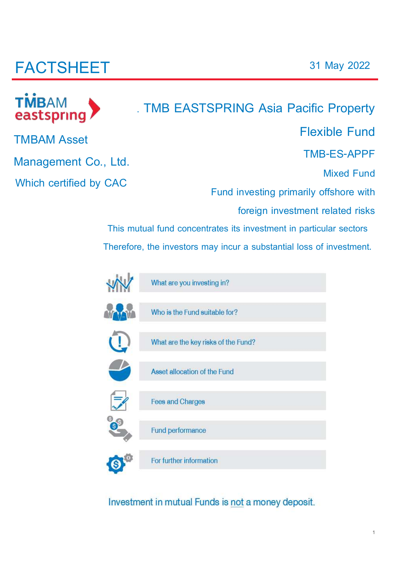# **FACTSHEET**



# **. TMB EASTSPRING Asia Pacific Property Flexible Fund TMB-ES-APPF**

**Mixed Fund** 

**Fund investing primarily offshore with** 

**foreign investment related risks** 

**This mutual fund concentrates its investment in particular sectors Therefore, the investors may incur a substantial loss of investment.**



Investment in mutual Funds is not a money deposit.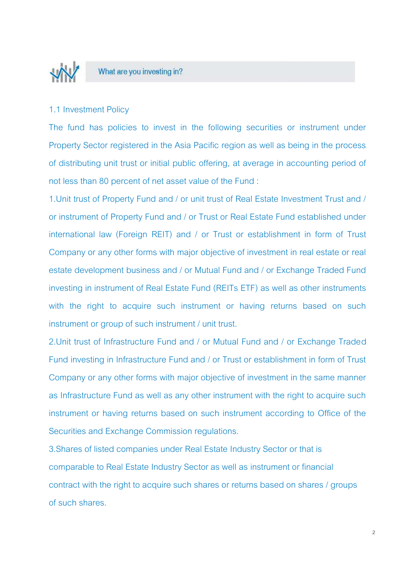

#### What are you investing in?

#### 1.1 Investment Policy

The fund has policies to invest in the following securities or instrument under Property Sector registered in the Asia Pacific region as well as being in the process of distributing unit trust or initial public offering, at average in accounting period of not less than 80 percent of net asset value of the Fund :

1.Unit trust of Property Fund and / or unit trust of Real Estate Investment Trust and / or instrument of Property Fund and / or Trust or Real Estate Fund established under international law (Foreign REIT) and / or Trust or establishment in form of Trust Company or any other forms with major objective of investment in real estate or real estate development business and / or Mutual Fund and / or Exchange Traded Fund investing in instrument of Real Estate Fund (REITs ETF) as well as other instruments with the right to acquire such instrument or having returns based on such instrument or group of such instrument / unit trust.

2.Unit trust of Infrastructure Fund and / or Mutual Fund and / or Exchange Traded Fund investing in Infrastructure Fund and / or Trust or establishment in form of Trust Company or any other forms with major objective of investment in the same manner as Infrastructure Fund as well as any other instrument with the right to acquire such instrument or having returns based on such instrument according to Office of the Securities and Exchange Commission regulations.

3.Shares of listed companies under Real Estate Industry Sector or that is comparable to Real Estate Industry Sector as well as instrument or financial contract with the right to acquire such shares or returns based on shares / groups of such shares.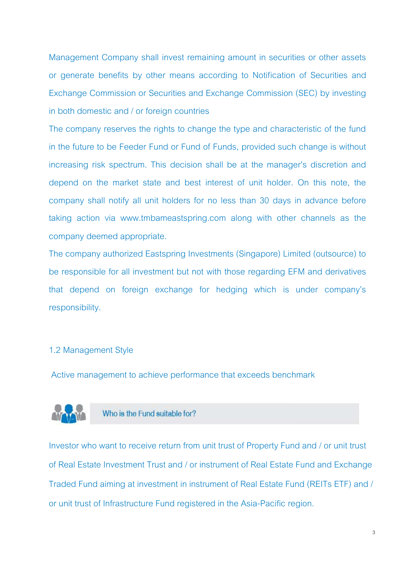Management Company shall invest remaining amount in securities or other assets or generate benefits by other means according to Notification of Securities and Exchange Commission or Securities and Exchange Commission (SEC) by investing in both domestic and / or foreign countries

The company reserves the rights to change the type and characteristic of the fund in the future to be Feeder Fund or Fund of Funds, provided such change is without increasing risk spectrum. This decision shall be at the manager's discretion and depend on the market state and best interest of unit holder. On this note, the company shall notify all unit holders for no less than 30 days in advance before taking action via www.tmbameastspring.com along with other channels as the company deemed appropriate.

The company authorized Eastspring Investments (Singapore) Limited (outsource) to be responsible for all investment but not with those regarding EFM and derivatives that depend on foreign exchange for hedging which is under company's responsibility.

#### 1.2 Management Style

Active management to achieve performance that exceeds benchmark



Who is the Fund suitable for?

Investor who want to receive return from unit trust of Property Fund and / or unit trust of Real Estate Investment Trust and / or instrument of Real Estate Fund and Exchange Traded Fund aiming at investment in instrument of Real Estate Fund (REITs ETF) and / or unit trust of Infrastructure Fund registered in the Asia-Pacific region.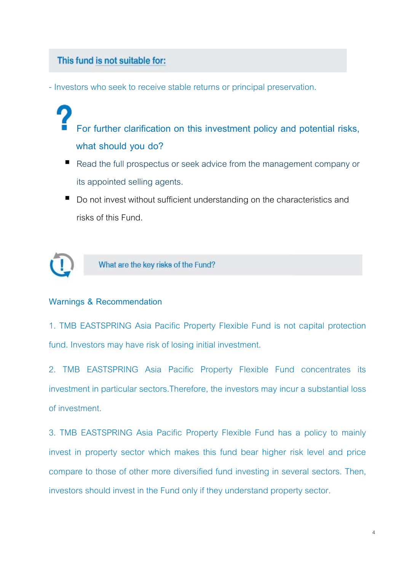### This fund is not suitable for:

- Investors who seek to receive stable returns or principal preservation.

- **For further clarification on this investment policy and potential risks, what should you do?**
- Read the full prospectus or seek advice from the management company or its appointed selling agents.
- Do not invest without sufficient understanding on the characteristics and risks of this Fund.



What are the key risks of the Fund?

#### **Warnings & Recommendation**

1. TMB EASTSPRING Asia Pacific Property Flexible Fund is not capital protection fund. Investors may have risk of losing initial investment.

2. TMB EASTSPRING Asia Pacific Property Flexible Fund concentrates its investment in particular sectors.Therefore, the investors may incur a substantial loss of investment.

3. TMB EASTSPRING Asia Pacific Property Flexible Fund has a policy to mainly invest in property sector which makes this fund bear higher risk level and price compare to those of other more diversified fund investing in several sectors. Then, investors should invest in the Fund only if they understand property sector.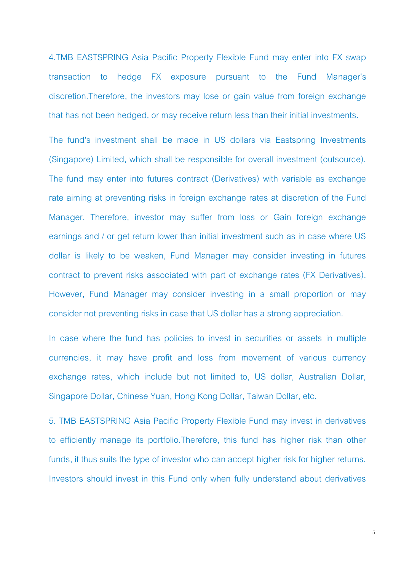4.TMB EASTSPRING Asia Pacific Property Flexible Fund may enter into FX swap transaction to hedge FX exposure pursuant to the Fund Manager's discretion.Therefore, the investors may lose or gain value from foreign exchange that has not been hedged, or may receive return less than their initial investments.

The fund's investment shall be made in US dollars via Eastspring Investments (Singapore) Limited, which shall be responsible for overall investment (outsource). The fund may enter into futures contract (Derivatives) with variable as exchange rate aiming at preventing risks in foreign exchange rates at discretion of the Fund Manager. Therefore, investor may suffer from loss or Gain foreign exchange earnings and / or get return lower than initial investment such as in case where US dollar is likely to be weaken, Fund Manager may consider investing in futures contract to prevent risks associated with part of exchange rates (FX Derivatives). However, Fund Manager may consider investing in a small proportion or may consider not preventing risks in case that US dollar has a strong appreciation.

In case where the fund has policies to invest in securities or assets in multiple currencies, it may have profit and loss from movement of various currency exchange rates, which include but not limited to, US dollar, Australian Dollar, Singapore Dollar, Chinese Yuan, Hong Kong Dollar, Taiwan Dollar, etc.

5. TMB EASTSPRING Asia Pacific Property Flexible Fund may invest in derivatives to efficiently manage its portfolio.Therefore, this fund has higher risk than other funds, it thus suits the type of investor who can accept higher risk for higher returns. Investors should invest in this Fund only when fully understand about derivatives

5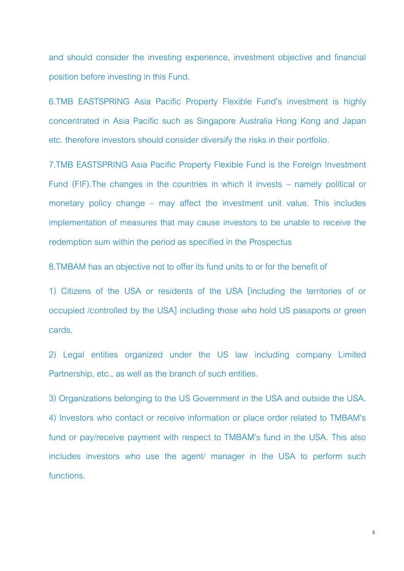and should consider the investing experience, investment objective and financial position before investing in this Fund.

6.TMB EASTSPRING Asia Pacific Property Flexible Fund's investment is highly concentrated in Asia Pacific such as Singapore Australia Hong Kong and Japan etc. therefore investors should consider diversify the risks in their portfolio.

7.TMB EASTSPRING Asia Pacific Property Flexible Fund is the Foreign Investment Fund (FIF).The changes in the countries in which it invests – namely political or monetary policy change – may affect the investment unit value. This includes implementation of measures that may cause investors to be unable to receive the redemption sum within the period as specified in the Prospectus

8.TMBAM has an objective not to offer its fund units to or for the benefit of

1) Citizens of the USA or residents of the USA [including the territories of or occupied /controlled by the USA] including those who hold US passports or green cards.

2) Legal entities organized under the US law including company Limited Partnership, etc., as well as the branch of such entities.

3) Organizations belonging to the US Government in the USA and outside the USA. 4) Investors who contact or receive information or place order related to TMBAM's fund or pay/receive payment with respect to TMBAM's fund in the USA. This also includes investors who use the agent/ manager in the USA to perform such functions.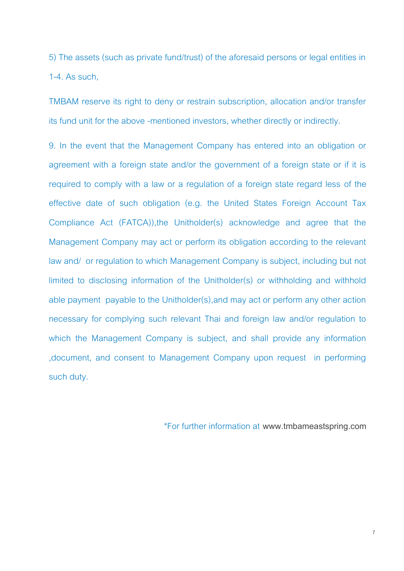5) The assets (such as private fund/trust) of the aforesaid persons or legal entities in 1-4. As such,

TMBAM reserve its right to deny or restrain subscription, allocation and/or transfer its fund unit for the above -mentioned investors, whether directly or indirectly.

9. In the event that the Management Company has entered into an obligation or agreement with a foreign state and/or the government of a foreign state or if it is required to comply with a law or a regulation of a foreign state regard less of the effective date of such obligation (e.g. the United States Foreign Account Tax Compliance Act (FATCA)),the Unitholder(s) acknowledge and agree that the Management Company may act or perform its obligation according to the relevant law and/ or regulation to which Management Company is subject, including but not limited to disclosing information of the Unitholder(s) or withholding and withhold able payment payable to the Unitholder(s),and may act or perform any other action necessary for complying such relevant Thai and foreign law and/or regulation to which the Management Company is subject, and shall provide any information ,document, and consent to Management Company upon request in performing such duty.

\*For further information at **www.[tmbameastspring.com](http://www.tmbameastspring.com/)**

7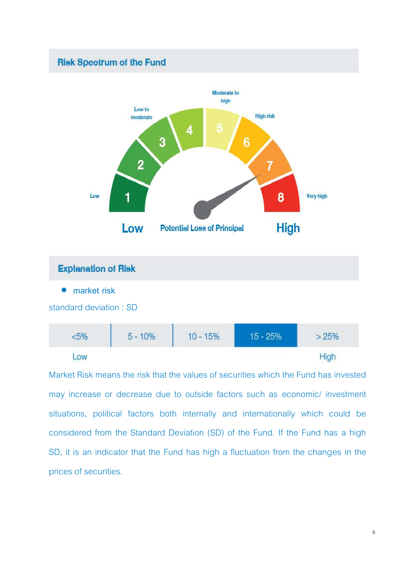### **Risk Speotrum of the Fund**





Market Risk means the risk that the values of securities which the Fund has invested may increase or decrease due to outside factors such as economic/ investment situations, political factors both internally and internationally which could be considered from the Standard Deviation (SD) of the Fund. If the Fund has a high SD, it is an indicator that the Fund has high a fluctuation from the changes in the prices of securities.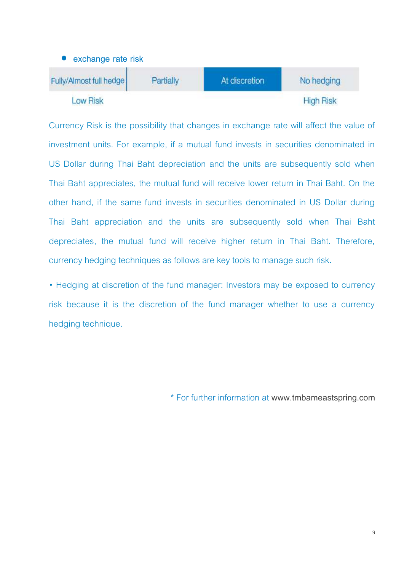

Currency Risk is the possibility that changes in exchange rate will affect the value of investment units. For example, if a mutual fund invests in securities denominated in US Dollar during Thai Baht depreciation and the units are subsequently sold when Thai Baht appreciates, the mutual fund will receive lower return in Thai Baht. On the other hand, if the same fund invests in securities denominated in US Dollar during Thai Baht appreciation and the units are subsequently sold when Thai Baht depreciates, the mutual fund will receive higher return in Thai Baht. Therefore, currency hedging techniques as follows are key tools to manage such risk.

• Hedging at discretion of the fund manager: Investors may be exposed to currency risk because it is the discretion of the fund manager whether to use a currency hedging technique.

\* For further information at **www.[tmbameastspring.com](http://www.tmbameastspring.com/)**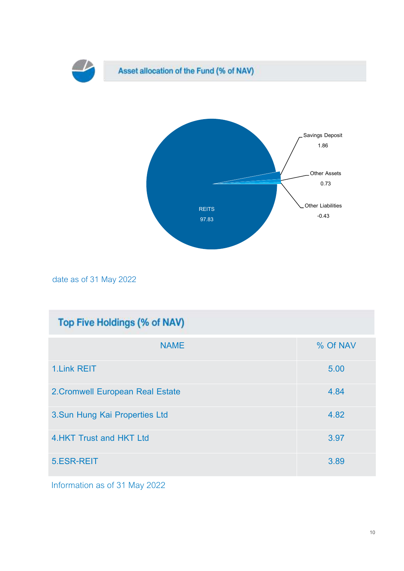

date as of 31 May 2022

| Top Five Holdings (% of NAV)     |          |  |  |  |  |
|----------------------------------|----------|--|--|--|--|
| <b>NAME</b>                      | % Of NAV |  |  |  |  |
| <b>1.Link REIT</b>               | 5.00     |  |  |  |  |
| 2. Cromwell European Real Estate | 4.84     |  |  |  |  |
| 3. Sun Hung Kai Properties Ltd   | 4.82     |  |  |  |  |
| 4. HKT Trust and HKT Ltd         | 3.97     |  |  |  |  |
| 5.ESR-REIT                       | 3.89     |  |  |  |  |

Information as of 31 May 2022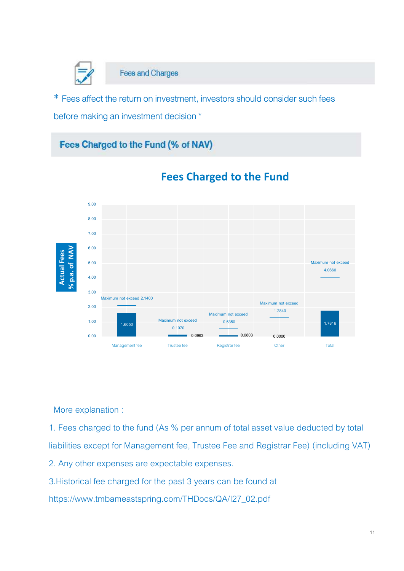![](_page_10_Picture_0.jpeg)

**Fees and Charges** 

\* Fees affect the return on investment, investors should consider such fees before making an investment decision \*

### Fees Charged to the Fund (% of NAV)

![](_page_10_Figure_4.jpeg)

### **Fees Charged to the Fund**

More explanation :

1. Fees charged to the fund (As % per annum of total asset value deducted by total liabilities except for Management fee, Trustee Fee and Registrar Fee) (including VAT)

2. Any other expenses are expectable expenses.

3.Historical fee charged for the past 3 years can be found at

[https://www.tmbameastspring.com/THDocs/QA/I27\\_02.pdf](https://www.tmbameastspring.com/THDocs/QA/I27_02.pdf)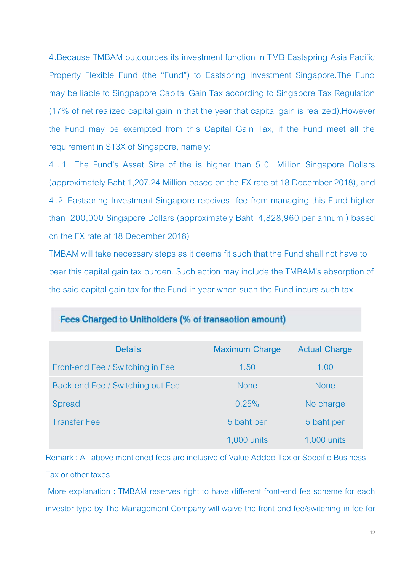4.Because TMBAM outcources its investment function in TMB Eastspring Asia Pacific Property Flexible Fund (the "Fund") to Eastspring Investment Singapore.The Fund may be liable to Singpapore Capital Gain Tax according to Singapore Tax Regulation (17% of net realized capital gain in that the year that capital gain is realized).However the Fund may be exempted from this Capital Gain Tax, if the Fund meet all the requirement in S13X of Singapore, namely:

4 . 1 The Fund's Asset Size of the is higher than 5 0 Million Singapore Dollars (approximately Baht 1,207.24 Million based on the FX rate at 18 December 2018), and 4 .2 Eastspring Investment Singapore receives fee from managing this Fund higher than 200,000 Singapore Dollars (approximately Baht 4,828,960 per annum ) based on the FX rate at 18 December 2018)

TMBAM will take necessary steps as it deems fit such that the Fund shall not have to bear this capital gain tax burden. Such action may include the TMBAM's absorption of the said capital gain tax for the Fund in year when such the Fund incurs such tax.

| <b>Details</b>                   | <b>Maximum Charge</b> | <b>Actual Charge</b> |
|----------------------------------|-----------------------|----------------------|
| Front-end Fee / Switching in Fee | 1.50                  | 1.00                 |
| Back-end Fee / Switching out Fee | <b>None</b>           | <b>None</b>          |
| Spread                           | 0.25%                 | No charge            |
| <b>Transfer Fee</b>              | 5 baht per            | 5 baht per           |
|                                  | 1,000 units           | 1,000 units          |

### Fees Charged to Unitholders (% of transaction amount)

Remark : All above mentioned fees are inclusive of Value Added Tax or Specific Business Tax or other taxes.

More explanation : TMBAM reserves right to have different front-end fee scheme for each investor type by The Management Company will waive the front-end fee/switching-in fee for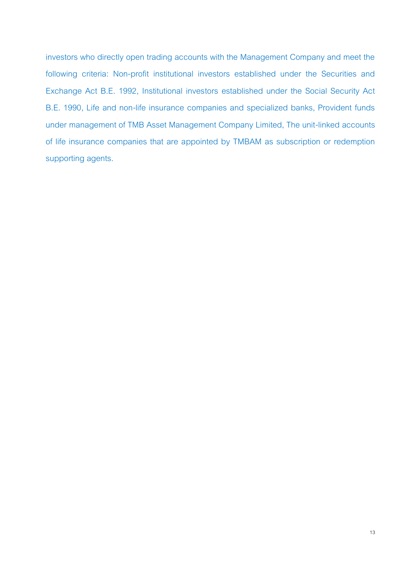investors who directly open trading accounts with the Management Company and meet the following criteria: Non-profit institutional investors established under the Securities and Exchange Act B.E. 1992, Institutional investors established under the Social Security Act B.E. 1990, Life and non-life insurance companies and specialized banks, Provident funds under management of TMB Asset Management Company Limited, The unit-linked accounts of life insurance companies that are appointed by TMBAM as subscription or redemption supporting agents.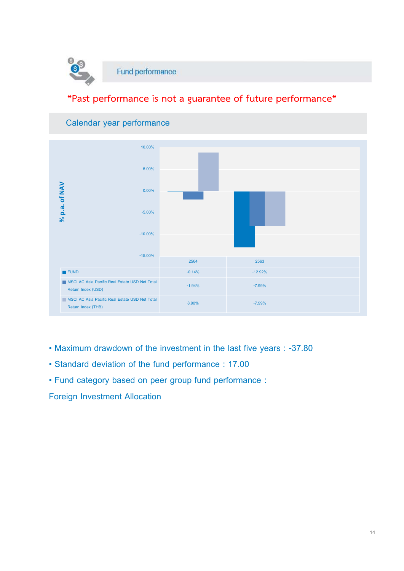![](_page_13_Picture_0.jpeg)

### **\*Past performance is not a guarantee of future performance\***

![](_page_13_Figure_2.jpeg)

### **Calendar year performance**

- **Maximum drawdown of the investment in the last five years : -37.80**
- **Standard deviation of the fund performance : 17.00**
- **Fund category based on peer group fund performance :**

**Foreign Investment Allocation**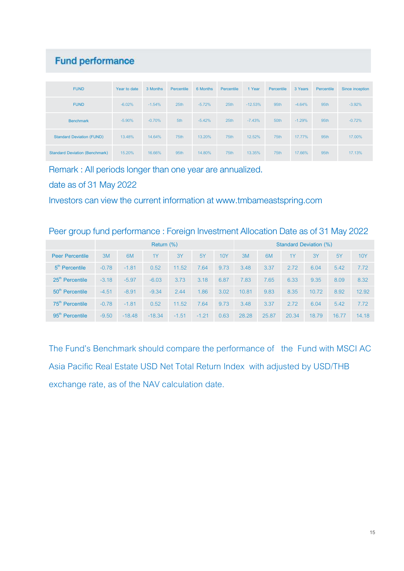### **Fund performance**

| <b>FUND</b>                           | Year to date | 3 Months | Percentile       | 6 Months  | Percentile       | 1 Year     | Percentile | 3 Years  | Percentile | Since inception |
|---------------------------------------|--------------|----------|------------------|-----------|------------------|------------|------------|----------|------------|-----------------|
| <b>FUND</b>                           | $-6.02\%$    | $-1.54%$ | 25 <sub>th</sub> | $-5.72\%$ | 25 <sub>th</sub> | $-12.53\%$ | 95th       | $-4.64%$ | 95th       | $-3.92\%$       |
| <b>Benchmark</b>                      | $-5.90\%$    | $-0.70%$ | 5th              | $-5.42%$  | 25 <sub>th</sub> | $-7.43%$   | 50th       | $-1.29%$ | 95th       | $-0.72%$        |
| <b>Standard Deviation (FUND)</b>      | 13.48%       | 14.64%   | 75th             | 13.20%    | 75th             | 12.52%     | 75th       | 17.77%   | 95th       | 17.00%          |
| <b>Standard Deviation (Benchmark)</b> | 15.20%       | 16.66%   | 95th             | 14.80%    | 75th             | 13.35%     | 75th       | 17.66%   | 95th       | 17.13%          |

Remark : All periods longer than one year are annualized.

date as of 31 May 2022

Investors can view the current information at www.tmbameastspring.com

### Peer group fund performance : Foreign Investment Allocation Date as of 31 May 2022

|                             | Return $(\%)$ |          |          |         |         | <b>Standard Deviation (%)</b> |       |                |       |       |           |            |
|-----------------------------|---------------|----------|----------|---------|---------|-------------------------------|-------|----------------|-------|-------|-----------|------------|
| <b>Peer Percentile</b>      | 3M            | 6M       | 1Y       | 3Y      | 5Y      | 10Y                           | 3M    | 6 <sub>M</sub> | 1Y    | 3Y    | <b>5Y</b> | <b>10Y</b> |
| 5 <sup>th</sup> Percentile  | $-0.78$       | $-1.81$  | 0.52     | 11.52   | 7.64    | 9.73                          | 3.48  | 3.37           | 2.72  | 6.04  | 5.42      | 7.72       |
| 25 <sup>th</sup> Percentile | $-3.18$       | $-5.97$  | $-6.03$  | 3.73    | 3.18    | 6.87                          | 7.83  | 7.65           | 6.33  | 9.35  | 8.09      | 8.32       |
| 50 <sup>th</sup> Percentile | $-4.51$       | $-8.91$  | $-9.34$  | 2.44    | 1.86    | 3.02                          | 10.81 | 9.83           | 8.35  | 10.72 | 8.92      | 12.92      |
| 75 <sup>th</sup> Percentile | $-0.78$       | $-1.81$  | 0.52     | 11.52   | 7.64    | 9.73                          | 3.48  | 3.37           | 2.72  | 6.04  | 5.42      | 7.72       |
| $95th$ Percentile           | $-9.50$       | $-18.48$ | $-18.34$ | $-1.51$ | $-1.21$ | 0.63                          | 28.28 | 25.87          | 20.34 | 18.79 | 16.77     | 14.18      |

The Fund's Benchmark should compare the performance of the Fund with MSCI AC Asia Pacific Real Estate USD Net Total Return Index with adjusted by USD/THB exchange rate, as of the NAV calculation date.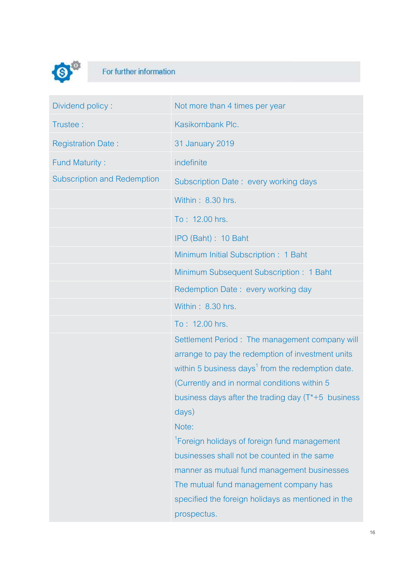![](_page_15_Picture_0.jpeg)

## For further information

| Dividend policy:                   | Not more than 4 times per year                                |
|------------------------------------|---------------------------------------------------------------|
| Trustee:                           | Kasikornbank Plc.                                             |
| <b>Registration Date:</b>          | 31 January 2019                                               |
| <b>Fund Maturity:</b>              | indefinite                                                    |
| <b>Subscription and Redemption</b> | Subscription Date: every working days                         |
|                                    | Within: 8.30 hrs.                                             |
|                                    | To: 12.00 hrs.                                                |
|                                    | IPO (Baht): 10 Baht                                           |
|                                    | Minimum Initial Subscription: 1 Baht                          |
|                                    | Minimum Subsequent Subscription: 1 Baht                       |
|                                    | Redemption Date: every working day                            |
|                                    | Within: 8.30 hrs.                                             |
|                                    | To: 12.00 hrs.                                                |
|                                    | Settlement Period: The management company will                |
|                                    | arrange to pay the redemption of investment units             |
|                                    | within 5 business days <sup>1</sup> from the redemption date. |
|                                    | (Currently and in normal conditions within 5)                 |
|                                    | business days after the trading day $(T^*+5)$ business        |
|                                    | days)                                                         |
|                                    | Note:                                                         |
|                                    | <sup>1</sup> Foreign holidays of foreign fund management      |
|                                    | businesses shall not be counted in the same                   |
|                                    | manner as mutual fund management businesses                   |
|                                    | The mutual fund management company has                        |
|                                    | specified the foreign holidays as mentioned in the            |
|                                    | prospectus.                                                   |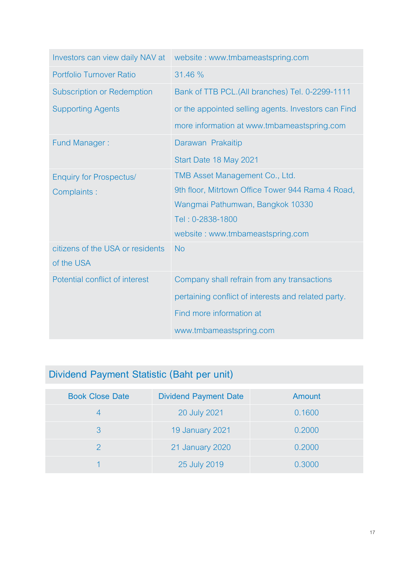| Investors can view daily NAV at   | website: www.tmbameastspring.com                    |
|-----------------------------------|-----------------------------------------------------|
| Portfolio Turnover Ratio          | 31.46 %                                             |
| <b>Subscription or Redemption</b> | Bank of TTB PCL.(All branches) Tel. 0-2299-1111     |
| <b>Supporting Agents</b>          | or the appointed selling agents. Investors can Find |
|                                   | more information at www.tmbameastspring.com         |
| <b>Fund Manager:</b>              | Darawan Prakaitip                                   |
|                                   | Start Date 18 May 2021                              |
| <b>Enquiry for Prospectus/</b>    | TMB Asset Management Co., Ltd.                      |
| Complaints:                       | 9th floor, Mitrtown Office Tower 944 Rama 4 Road,   |
|                                   | Wangmai Pathumwan, Bangkok 10330                    |
|                                   | Tel: 0-2838-1800                                    |
|                                   | website: www.tmbameastspring.com                    |
| citizens of the USA or residents  | <b>No</b>                                           |
| of the USA                        |                                                     |
| Potential conflict of interest    | Company shall refrain from any transactions         |
|                                   | pertaining conflict of interests and related party. |
|                                   | Find more information at                            |
|                                   | www.tmbameastspring.com                             |

## **Dividend Payment Statistic (Baht per unit)**

| <b>Book Close Date</b> | <b>Dividend Payment Date</b> | Amount |
|------------------------|------------------------------|--------|
|                        | 20 July 2021                 | 0.1600 |
| 3                      | <b>19 January 2021</b>       | 0.2000 |
|                        | 21 January 2020              | 0.2000 |
|                        | 25 July 2019                 | 0.3000 |